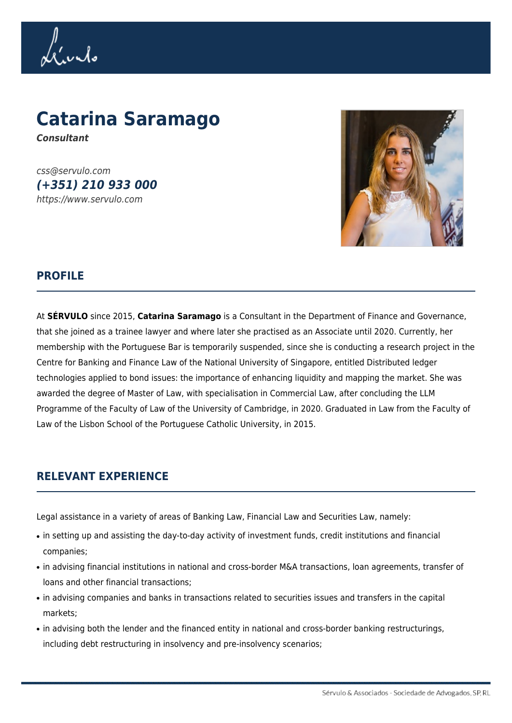Lívido

## **Catarina Saramago** *Consultant*

css@servulo.com *(+351) 210 933 000* https://www.servulo.com



## **PROFILE**

At **SÉRVULO** since 2015, **Catarina Saramago** is a Consultant in the Department of Finance and Governance, that she joined as a trainee lawyer and where later she practised as an Associate until 2020. Currently, her membership with the Portuguese Bar is temporarily suspended, since she is conducting a research project in the Centre for Banking and Finance Law of the National University of Singapore, entitled Distributed ledger technologies applied to bond issues: the importance of enhancing liquidity and mapping the market. She was awarded the degree of Master of Law, with specialisation in Commercial Law, after concluding the LLM Programme of the Faculty of Law of the University of Cambridge, in 2020. Graduated in Law from the Faculty of Law of the Lisbon School of the Portuguese Catholic University, in 2015.

## **RELEVANT EXPERIENCE**

Legal assistance in a variety of areas of Banking Law, Financial Law and Securities Law, namely:

- in setting up and assisting the day-to-day activity of investment funds, credit institutions and financial companies;
- in advising financial institutions in national and cross-border M&A transactions, loan agreements, transfer of loans and other financial transactions;
- in advising companies and banks in transactions related to securities issues and transfers in the capital markets;
- in advising both the lender and the financed entity in national and cross-border banking restructurings, including debt restructuring in insolvency and pre-insolvency scenarios;